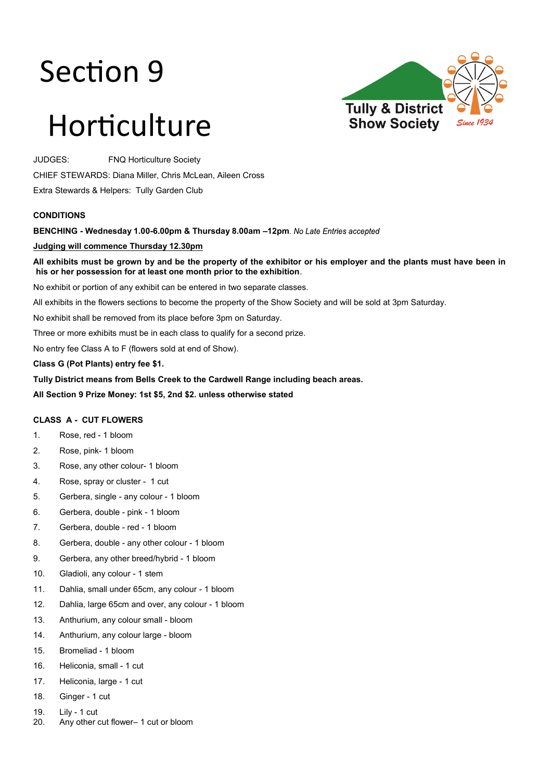# Section 9

# **Tully & District Show Society**

# Horticulture

JUDGES: FNQ Horticulture Society

CHIEF STEWARDS: Diana Miller, Chris McLean, Aileen Cross

Extra Stewards & Helpers: Tully Garden Club

## **CONDITIONS**

**BENCHING - Wednesday 1.00-6.00pm & Thursday 8.00am –12pm**

## **Judging will commence Thursday 12.30pm**

**All exhibits must be grown by and be the property of the exhibitor or his employer and the plants must have been in his or her possession for at least one month prior to the exhibition**.

No exhibit or portion of any exhibit can be entered in two separate classes.

All exhibits in the flowers sections to become the property of the Show Society and will be sold at 3pm Saturday.

No exhibit shall be removed from its place before 3pm on Saturday.

Three or more exhibits must be in each class to qualify for a second prize.

No entry fee Class A to F (flowers sold at end of Show).

**Class G (Pot Plants) entry fee \$1.** 

**Tully District means from Bells Creek to the Cardwell Range including beach areas.**

**All Section 9 Prize Money: 1st \$5, 2nd \$2. unless otherwise stated**

## **CLASS A - CUT FLOWERS**

- 1. Rose, red 1 bloom
- 2. Rose, pink- 1 bloom
- 3. Rose, any other colour- 1 bloom
- 4. Rose, spray or cluster 1 cut
- 5. Gerbera, single any colour 1 bloom
- 6. Gerbera, double pink 1 bloom
- 7. Gerbera, double red 1 bloom
- 8. Gerbera, double any other colour 1 bloom
- 9. Gerbera, any other breed/hybrid 1 bloom
- 10. Gladioli, any colour 1 stem
- 11. Dahlia, small under 65cm, any colour 1 bloom
- 12. Dahlia, large 65cm and over, any colour 1 bloom
- 13. Anthurium, any colour small bloom
- 14. Anthurium, any colour large bloom
- 15. Bromeliad 1 bloom
- 16. Heliconia, small 1 cut
- 17. Heliconia, large 1 cut
- 18. Ginger 1 cut
- 19. Lily 1 cut
- 20. Any other cut flower– 1 cut or bloom